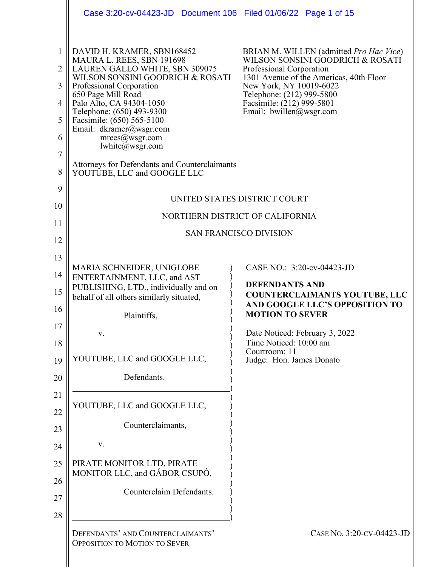|                                            | Case 3:20-cv-04423-JD  Document 106  Filed 01/06/22  Page 1 of 15                                                                                                                                                                                                                                                                     |                                                                                                                                                                                                                                                                    |  |
|--------------------------------------------|---------------------------------------------------------------------------------------------------------------------------------------------------------------------------------------------------------------------------------------------------------------------------------------------------------------------------------------|--------------------------------------------------------------------------------------------------------------------------------------------------------------------------------------------------------------------------------------------------------------------|--|
| $\mathbf{1}$<br>2<br>3<br>4<br>5<br>6<br>7 | DAVID H. KRAMER, SBN168452<br>MAURA L. REES, SBN 191698<br>LAUREN GALLO WHITE, SBN 309075<br>WILSON SONSINI GOODRICH & ROSATI<br>Professional Corporation<br>650 Page Mill Road<br>Palo Alto, CA 94304-1050<br>Telephone: (650) 493-9300<br>Facsimile: (650) 565-5100<br>Email: dkramer@wsgr.com<br>mrees@wsgr.com<br>lwhite@wsgr.com | BRIAN M. WILLEN (admitted Pro Hac Vice)<br>WILSON SONSINI GOODRICH & ROSATI<br>Professional Corporation<br>1301 Avenue of the Americas, 40th Floor<br>New York, NY 10019-6022<br>Telephone: (212) 999-5800<br>Facsimile: (212) 999-5801<br>Email: bwillen@wsgr.com |  |
| 8                                          | Attorneys for Defendants and Counterclaimants<br>YOUTUBE, LLC and GOOGLE LLC                                                                                                                                                                                                                                                          |                                                                                                                                                                                                                                                                    |  |
| 9<br>10                                    |                                                                                                                                                                                                                                                                                                                                       | UNITED STATES DISTRICT COURT<br>NORTHERN DISTRICT OF CALIFORNIA                                                                                                                                                                                                    |  |
| 11<br>12                                   | <b>SAN FRANCISCO DIVISION</b>                                                                                                                                                                                                                                                                                                         |                                                                                                                                                                                                                                                                    |  |
| 13                                         |                                                                                                                                                                                                                                                                                                                                       |                                                                                                                                                                                                                                                                    |  |
| 14                                         | MARIA SCHNEIDER, UNIGLOBE<br>ENTERTAINMENT, LLC, and AST                                                                                                                                                                                                                                                                              | CASE NO.: 3:20-cv-04423-JD                                                                                                                                                                                                                                         |  |
| 15                                         | PUBLISHING, LTD., individually and on<br>behalf of all others similarly situated,                                                                                                                                                                                                                                                     | <b>DEFENDANTS AND</b><br><b>COUNTERCLAIMANTS YOUTUBE, LLC</b><br>AND GOOGLE LLC'S OPPOSITION TO                                                                                                                                                                    |  |
| 16                                         | Plaintiffs,                                                                                                                                                                                                                                                                                                                           | <b>MOTION TO SEVER</b>                                                                                                                                                                                                                                             |  |
| 17<br>18                                   | V.                                                                                                                                                                                                                                                                                                                                    | Date Noticed: February 3, 2022<br>Time Noticed: 10:00 am                                                                                                                                                                                                           |  |
| 19                                         | YOUTUBE, LLC and GOOGLE LLC,                                                                                                                                                                                                                                                                                                          | Courtroom: 11<br>Judge: Hon. James Donato                                                                                                                                                                                                                          |  |
| 20                                         | Defendants.                                                                                                                                                                                                                                                                                                                           |                                                                                                                                                                                                                                                                    |  |
| 21                                         | YOUTUBE, LLC and GOOGLE LLC,                                                                                                                                                                                                                                                                                                          |                                                                                                                                                                                                                                                                    |  |
| 22                                         | Counterclaimants,                                                                                                                                                                                                                                                                                                                     |                                                                                                                                                                                                                                                                    |  |
| 23                                         | V.                                                                                                                                                                                                                                                                                                                                    |                                                                                                                                                                                                                                                                    |  |
| 24<br>25                                   | PIRATE MONITOR LTD, PIRATE                                                                                                                                                                                                                                                                                                            |                                                                                                                                                                                                                                                                    |  |
| 26                                         | MONITOR LLC, and GÁBOR CSUPÓ,                                                                                                                                                                                                                                                                                                         |                                                                                                                                                                                                                                                                    |  |
| 27                                         | Counterclaim Defendants.                                                                                                                                                                                                                                                                                                              |                                                                                                                                                                                                                                                                    |  |
| 28                                         |                                                                                                                                                                                                                                                                                                                                       |                                                                                                                                                                                                                                                                    |  |
|                                            | DEFENDANTS' AND COUNTERCLAIMANTS'<br><b>OPPOSITION TO MOTION TO SEVER</b>                                                                                                                                                                                                                                                             | CASE No. 3:20-CV-04423-JD                                                                                                                                                                                                                                          |  |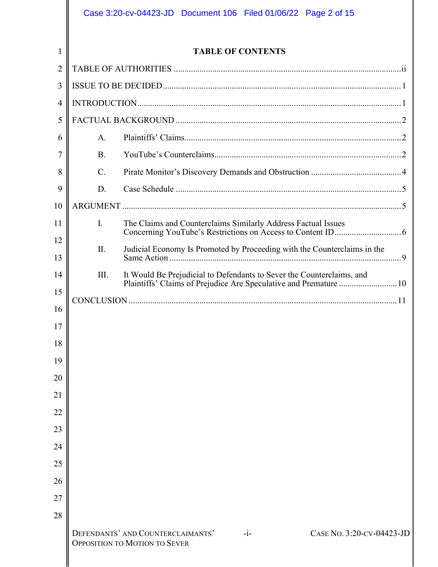|                |                                                                   | Case 3:20-cv-04423-JD  Document 106  Filed 01/06/22  Page 2 of 15                                               |
|----------------|-------------------------------------------------------------------|-----------------------------------------------------------------------------------------------------------------|
| 1              |                                                                   | <b>TABLE OF CONTENTS</b>                                                                                        |
| $\overline{2}$ |                                                                   |                                                                                                                 |
| 3              |                                                                   |                                                                                                                 |
| $\overline{4}$ |                                                                   |                                                                                                                 |
| 5              |                                                                   |                                                                                                                 |
| 6              | A.                                                                |                                                                                                                 |
| 7              | <b>B.</b>                                                         |                                                                                                                 |
| 8              | $\mathcal{C}$ .                                                   |                                                                                                                 |
| 9              | D.                                                                |                                                                                                                 |
| 10             |                                                                   |                                                                                                                 |
| 11             | I.                                                                | The Claims and Counterclaims Similarly Address Factual Issues                                                   |
| 12             | II.                                                               |                                                                                                                 |
| 13             |                                                                   | Judicial Economy Is Promoted by Proceeding with the Counterclaims in the                                        |
| 14             | III.                                                              | It Would Be Prejudicial to Defendants to Sever the Counterclaims, and                                           |
| 15             | Plaintiffs' Claims of Prejudice Are Speculative and Premature  10 |                                                                                                                 |
| 16             |                                                                   |                                                                                                                 |
| 17             |                                                                   |                                                                                                                 |
| 18             |                                                                   |                                                                                                                 |
| 19             |                                                                   |                                                                                                                 |
| 20             |                                                                   |                                                                                                                 |
| 21             |                                                                   |                                                                                                                 |
| 22             |                                                                   |                                                                                                                 |
| 23             |                                                                   |                                                                                                                 |
| 24             |                                                                   |                                                                                                                 |
| 25             |                                                                   |                                                                                                                 |
| 26             |                                                                   |                                                                                                                 |
| 27             |                                                                   |                                                                                                                 |
| 28             |                                                                   |                                                                                                                 |
|                |                                                                   | DEFENDANTS' AND COUNTERCLAIMANTS'<br>CASE No. 3:20-CV-04423-JD<br>$-i-$<br><b>OPPOSITION TO MOTION TO SEVER</b> |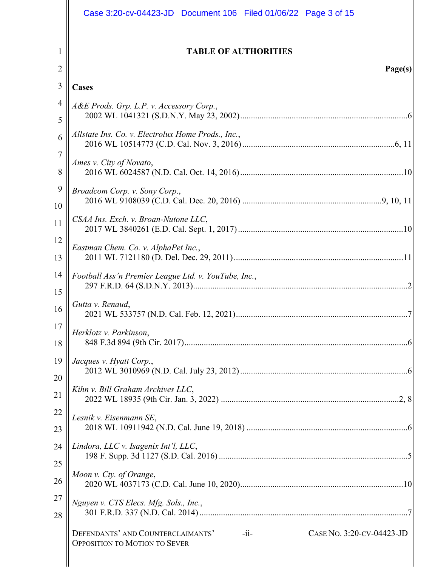|                | Case 3:20-cv-04423-JD  Document 106  Filed 01/06/22  Page 3 of 15                                                 |  |
|----------------|-------------------------------------------------------------------------------------------------------------------|--|
| 1              | <b>TABLE OF AUTHORITIES</b>                                                                                       |  |
| $\overline{2}$ | Page(s)                                                                                                           |  |
| 3              | <b>Cases</b>                                                                                                      |  |
| 4              |                                                                                                                   |  |
|                | A&E Prods. Grp. L.P. v. Accessory Corp.,<br>5                                                                     |  |
| 6              | Allstate Ins. Co. v. Electrolux Home Prods., Inc.,                                                                |  |
| $\tau$         | Ames v. City of Novato,                                                                                           |  |
| 8              |                                                                                                                   |  |
| 9              | Broadcom Corp. v. Sony Corp.,                                                                                     |  |
| 10             |                                                                                                                   |  |
| 11             | CSAA Ins. Exch. v. Broan-Nutone LLC,                                                                              |  |
| 12             | Eastman Chem. Co. v. AlphaPet Inc.,                                                                               |  |
| 13             |                                                                                                                   |  |
| 14             | Football Ass'n Premier League Ltd. v. YouTube, Inc.,                                                              |  |
| 15             |                                                                                                                   |  |
| 16             | Gutta v. Renaud,                                                                                                  |  |
| 17             | Herklotz v. Parkinson,                                                                                            |  |
| 18             |                                                                                                                   |  |
| 19             | Jacques v. Hyatt Corp.,                                                                                           |  |
| 20             |                                                                                                                   |  |
| 21             | Kihn v. Bill Graham Archives LLC,                                                                                 |  |
| 22             | Lesnik v. Eisenmann SE,                                                                                           |  |
| 23             |                                                                                                                   |  |
| 24             | Lindora, LLC v. Isagenix Int'l, LLC,                                                                              |  |
| 25             | Moon v. Cty. of Orange,                                                                                           |  |
| 26             |                                                                                                                   |  |
| 27             | Nguyen v. CTS Elecs. Mfg. Sols., Inc.,                                                                            |  |
| 28             |                                                                                                                   |  |
|                | $-i$ i-<br>DEFENDANTS' AND COUNTERCLAIMANTS'<br>CASE No. 3:20-CV-04423-JD<br><b>OPPOSITION TO MOTION TO SEVER</b> |  |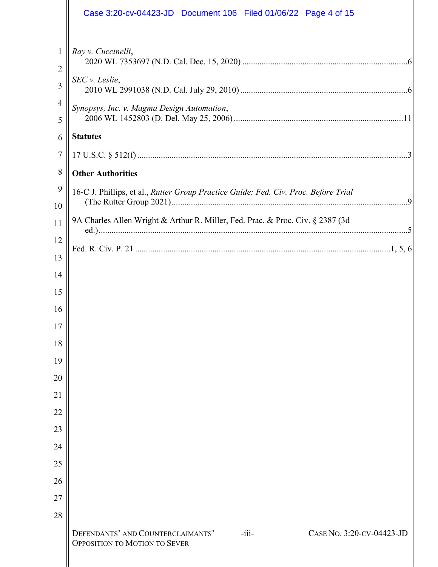|                     | Case 3:20-cv-04423-JD  Document 106  Filed 01/06/22  Page 4 of 15                                                 |  |  |  |
|---------------------|-------------------------------------------------------------------------------------------------------------------|--|--|--|
| $\mathbf{1}$        | Ray v. Cuccinelli,                                                                                                |  |  |  |
| $\overline{2}$<br>3 | SEC v. Leslie,                                                                                                    |  |  |  |
| 4                   | Synopsys, Inc. v. Magma Design Automation,                                                                        |  |  |  |
| 5<br>6              | <b>Statutes</b>                                                                                                   |  |  |  |
| $\tau$              |                                                                                                                   |  |  |  |
| 8                   | <b>Other Authorities</b>                                                                                          |  |  |  |
| 9                   | 16-C J. Phillips, et al., Rutter Group Practice Guide: Fed. Civ. Proc. Before Trial                               |  |  |  |
| 10                  |                                                                                                                   |  |  |  |
| 11                  | 9A Charles Allen Wright & Arthur R. Miller, Fed. Prac. & Proc. Civ. § 2387 (3d)                                   |  |  |  |
| 12                  |                                                                                                                   |  |  |  |
| 13                  |                                                                                                                   |  |  |  |
| 14                  |                                                                                                                   |  |  |  |
| 15                  |                                                                                                                   |  |  |  |
| 16                  |                                                                                                                   |  |  |  |
| 17<br>18            |                                                                                                                   |  |  |  |
| 19                  |                                                                                                                   |  |  |  |
| 20                  |                                                                                                                   |  |  |  |
| 21                  |                                                                                                                   |  |  |  |
| 22                  |                                                                                                                   |  |  |  |
| 23                  |                                                                                                                   |  |  |  |
| 24                  |                                                                                                                   |  |  |  |
| 25                  |                                                                                                                   |  |  |  |
| 26                  |                                                                                                                   |  |  |  |
| 27                  |                                                                                                                   |  |  |  |
| 28                  |                                                                                                                   |  |  |  |
|                     | DEFENDANTS' AND COUNTERCLAIMANTS'<br>CASE No. 3:20-CV-04423-JD<br>$-iii-$<br><b>OPPOSITION TO MOTION TO SEVER</b> |  |  |  |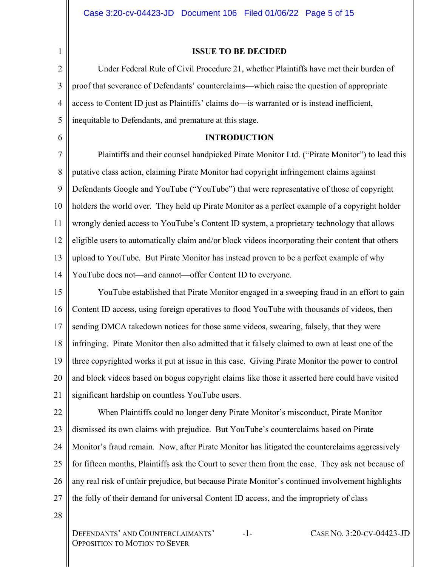2

6

1

## **ISSUE TO BE DECIDED**

3 4 5 Under Federal Rule of Civil Procedure 21, whether Plaintiffs have met their burden of proof that severance of Defendants' counterclaims—which raise the question of appropriate access to Content ID just as Plaintiffs' claims do—is warranted or is instead inefficient, inequitable to Defendants, and premature at this stage.

## **INTRODUCTION**

7 8 9 10 11 12 13 14 Plaintiffs and their counsel handpicked Pirate Monitor Ltd. ("Pirate Monitor") to lead this putative class action, claiming Pirate Monitor had copyright infringement claims against Defendants Google and YouTube ("YouTube") that were representative of those of copyright holders the world over. They held up Pirate Monitor as a perfect example of a copyright holder wrongly denied access to YouTube's Content ID system, a proprietary technology that allows eligible users to automatically claim and/or block videos incorporating their content that others upload to YouTube. But Pirate Monitor has instead proven to be a perfect example of why YouTube does not—and cannot—offer Content ID to everyone.

15 16 17 18 19 20 21 YouTube established that Pirate Monitor engaged in a sweeping fraud in an effort to gain Content ID access, using foreign operatives to flood YouTube with thousands of videos, then sending DMCA takedown notices for those same videos, swearing, falsely, that they were infringing. Pirate Monitor then also admitted that it falsely claimed to own at least one of the three copyrighted works it put at issue in this case. Giving Pirate Monitor the power to control and block videos based on bogus copyright claims like those it asserted here could have visited significant hardship on countless YouTube users.

22 23 24 25 26 27 When Plaintiffs could no longer deny Pirate Monitor's misconduct, Pirate Monitor dismissed its own claims with prejudice. But YouTube's counterclaims based on Pirate Monitor's fraud remain. Now, after Pirate Monitor has litigated the counterclaims aggressively for fifteen months, Plaintiffs ask the Court to sever them from the case. They ask not because of any real risk of unfair prejudice, but because Pirate Monitor's continued involvement highlights the folly of their demand for universal Content ID access, and the impropriety of class

28

DEFENDANTS' AND COUNTERCLAIMANTS' OPPOSITION TO MOTION TO SEVER

-1- CASE NO. 3:20-CV-04423-JD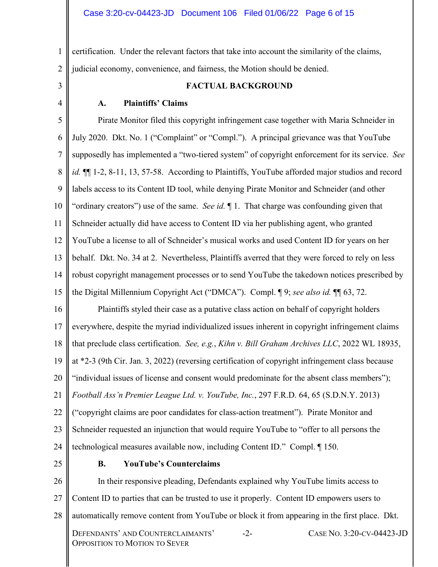1 2 certification. Under the relevant factors that take into account the similarity of the claims, judicial economy, convenience, and fairness, the Motion should be denied.

3

4

## **FACTUAL BACKGROUND**

## **A. Plaintiffs' Claims**

5 6 7 8 9 10 11 12 13 14 15 Pirate Monitor filed this copyright infringement case together with Maria Schneider in July 2020. Dkt. No. 1 ("Complaint" or "Compl."). A principal grievance was that YouTube supposedly has implemented a "two-tiered system" of copyright enforcement for its service. *See id.*  $\P$ [1-2, 8-11, 13, 57-58. According to Plaintiffs, YouTube afforded major studios and record labels access to its Content ID tool, while denying Pirate Monitor and Schneider (and other "ordinary creators") use of the same. *See id.* ¶ 1. That charge was confounding given that Schneider actually did have access to Content ID via her publishing agent, who granted YouTube a license to all of Schneider's musical works and used Content ID for years on her behalf. Dkt. No. 34 at 2. Nevertheless, Plaintiffs averred that they were forced to rely on less robust copyright management processes or to send YouTube the takedown notices prescribed by the Digital Millennium Copyright Act ("DMCA"). Compl. ¶ 9; *see also id.* ¶¶ 63, 72.

16 17 18 19 20 21 22 23 24 Plaintiffs styled their case as a putative class action on behalf of copyright holders everywhere, despite the myriad individualized issues inherent in copyright infringement claims that preclude class certification. *See, e.g.*, *Kihn v. Bill Graham Archives LLC*, 2022 WL 18935, at \*2-3 (9th Cir. Jan. 3, 2022) (reversing certification of copyright infringement class because "individual issues of license and consent would predominate for the absent class members"); *Football Ass'n Premier League Ltd. v. YouTube, Inc.*, 297 F.R.D. 64, 65 (S.D.N.Y. 2013) ("copyright claims are poor candidates for class-action treatment"). Pirate Monitor and Schneider requested an injunction that would require YouTube to "offer to all persons the technological measures available now, including Content ID." Compl. ¶ 150.

25

#### **B. YouTube's Counterclaims**

26 27 28 DEFENDANTS' AND COUNTERCLAIMANTS' OPPOSITION TO MOTION TO SEVER -2- CASE NO. 3:20-CV-04423-JD In their responsive pleading, Defendants explained why YouTube limits access to Content ID to parties that can be trusted to use it properly. Content ID empowers users to automatically remove content from YouTube or block it from appearing in the first place. Dkt.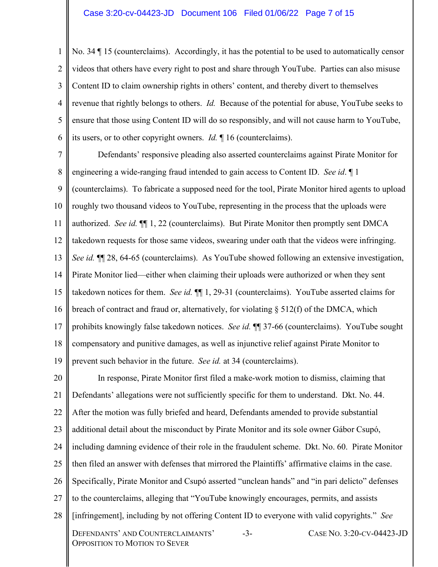#### Case 3:20-cv-04423-JD Document 106 Filed 01/06/22 Page 7 of 15

1  $\mathfrak{D}$ 3 4 5 6 No. 34 ¶ 15 (counterclaims). Accordingly, it has the potential to be used to automatically censor videos that others have every right to post and share through YouTube. Parties can also misuse Content ID to claim ownership rights in others' content, and thereby divert to themselves revenue that rightly belongs to others. *Id.* Because of the potential for abuse, YouTube seeks to ensure that those using Content ID will do so responsibly, and will not cause harm to YouTube, its users, or to other copyright owners. *Id.* ¶ 16 (counterclaims).

7 8 9 10 11 12 13 14 15 16 17 18 19 Defendants' responsive pleading also asserted counterclaims against Pirate Monitor for engineering a wide-ranging fraud intended to gain access to Content ID. *See id*. ¶ 1 (counterclaims). To fabricate a supposed need for the tool, Pirate Monitor hired agents to upload roughly two thousand videos to YouTube, representing in the process that the uploads were authorized. *See id.* ¶¶ 1, 22 (counterclaims). But Pirate Monitor then promptly sent DMCA takedown requests for those same videos, swearing under oath that the videos were infringing. *See id.* ¶¶ 28, 64-65 (counterclaims). As YouTube showed following an extensive investigation, Pirate Monitor lied—either when claiming their uploads were authorized or when they sent takedown notices for them. *See id.* ¶¶ 1, 29-31 (counterclaims). YouTube asserted claims for breach of contract and fraud or, alternatively, for violating  $\S$  512(f) of the DMCA, which prohibits knowingly false takedown notices. *See id.* ¶¶ 37-66 (counterclaims). YouTube sought compensatory and punitive damages, as well as injunctive relief against Pirate Monitor to prevent such behavior in the future. *See id.* at 34 (counterclaims).

20 21 22 23 24 25 26 27 28 DEFENDANTS' AND COUNTERCLAIMANTS' OPPOSITION TO MOTION TO SEVER -3- CASE NO. 3:20-CV-04423-JD In response, Pirate Monitor first filed a make-work motion to dismiss, claiming that Defendants' allegations were not sufficiently specific for them to understand. Dkt. No. 44. After the motion was fully briefed and heard, Defendants amended to provide substantial additional detail about the misconduct by Pirate Monitor and its sole owner Gábor Csupó, including damning evidence of their role in the fraudulent scheme. Dkt. No. 60. Pirate Monitor then filed an answer with defenses that mirrored the Plaintiffs' affirmative claims in the case. Specifically, Pirate Monitor and Csupó asserted "unclean hands" and "in pari delicto" defenses to the counterclaims, alleging that "YouTube knowingly encourages, permits, and assists [infringement], including by not offering Content ID to everyone with valid copyrights." *See*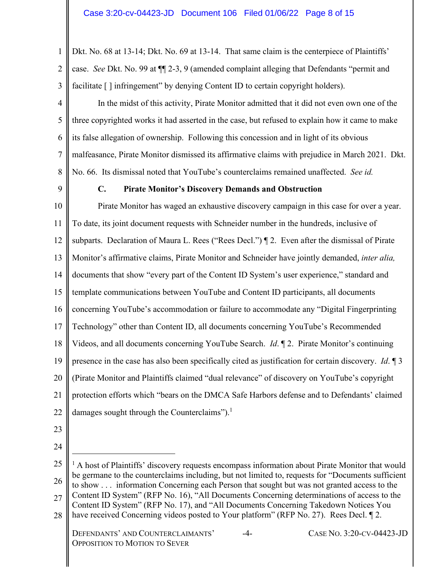1 2 3 Dkt. No. 68 at 13-14; Dkt. No. 69 at 13-14. That same claim is the centerpiece of Plaintiffs' case. *See* Dkt. No. 99 at ¶¶ 2-3, 9 (amended complaint alleging that Defendants "permit and facilitate  $\lceil \cdot \rceil$  infringement" by denying Content ID to certain copyright holders).

4 5 6 7 8 In the midst of this activity, Pirate Monitor admitted that it did not even own one of the three copyrighted works it had asserted in the case, but refused to explain how it came to make its false allegation of ownership. Following this concession and in light of its obvious malfeasance, Pirate Monitor dismissed its affirmative claims with prejudice in March 2021. Dkt. No. 66. Its dismissal noted that YouTube's counterclaims remained unaffected. *See id.*

9

# **C. Pirate Monitor's Discovery Demands and Obstruction**

10 11 12 13 14 15 16 17 18 19 20 21 22 Pirate Monitor has waged an exhaustive discovery campaign in this case for over a year. To date, its joint document requests with Schneider number in the hundreds, inclusive of subparts. Declaration of Maura L. Rees ("Rees Decl.") ¶ 2. Even after the dismissal of Pirate Monitor's affirmative claims, Pirate Monitor and Schneider have jointly demanded, *inter alia,*  documents that show "every part of the Content ID System's user experience," standard and template communications between YouTube and Content ID participants, all documents concerning YouTube's accommodation or failure to accommodate any "Digital Fingerprinting Technology" other than Content ID, all documents concerning YouTube's Recommended Videos, and all documents concerning YouTube Search. *Id*. ¶ 2. Pirate Monitor's continuing presence in the case has also been specifically cited as justification for certain discovery. *Id*. ¶ 3 (Pirate Monitor and Plaintiffs claimed "dual relevance" of discovery on YouTube's copyright protection efforts which "bears on the DMCA Safe Harbors defense and to Defendants' claimed damages sought through the Counterclaims").<sup>1</sup>

- 
- 23 24

<sup>25</sup>  26 27 28 DEFENDANTS' AND COUNTERCLAIMANTS' OPPOSITION TO MOTION TO SEVER -4- CASE NO. 3:20-CV-04423-JD  $<sup>1</sup>$  A host of Plaintiffs' discovery requests encompass information about Pirate Monitor that would</sup> be germane to the counterclaims including, but not limited to, requests for "Documents sufficient to show . . . information Concerning each Person that sought but was not granted access to the Content ID System" (RFP No. 16), "All Documents Concerning determinations of access to the Content ID System" (RFP No. 17), and "All Documents Concerning Takedown Notices You have received Concerning videos posted to Your platform" (RFP No. 27). Rees Decl. 12.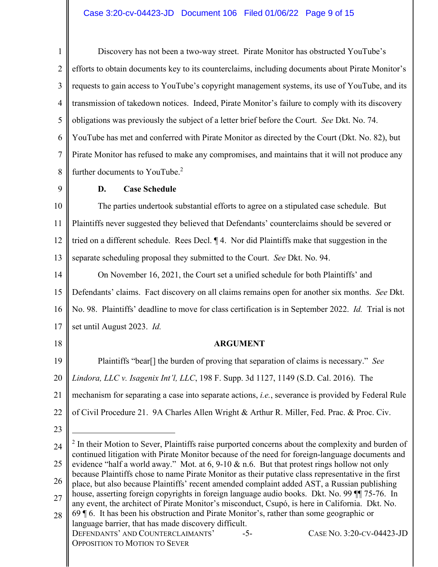# Case 3:20-cv-04423-JD Document 106 Filed 01/06/22 Page 9 of 15

1 2 3 4 5 6 7 8 9 10 11 12 13 14 15 16 17 18 19 20 21 22 23 24 25 26 27 28 DEFENDANTS' AND COUNTERCLAIMANTS' -5- CASE NO. 3:20-CV-04423-JD Discovery has not been a two-way street. Pirate Monitor has obstructed YouTube's efforts to obtain documents key to its counterclaims, including documents about Pirate Monitor's requests to gain access to YouTube's copyright management systems, its use of YouTube, and its transmission of takedown notices. Indeed, Pirate Monitor's failure to comply with its discovery obligations was previously the subject of a letter brief before the Court. *See* Dkt. No. 74. YouTube has met and conferred with Pirate Monitor as directed by the Court (Dkt. No. 82), but Pirate Monitor has refused to make any compromises, and maintains that it will not produce any further documents to YouTube.<sup>2</sup> **D. Case Schedule**  The parties undertook substantial efforts to agree on a stipulated case schedule. But Plaintiffs never suggested they believed that Defendants' counterclaims should be severed or tried on a different schedule. Rees Decl. ¶ 4. Nor did Plaintiffs make that suggestion in the separate scheduling proposal they submitted to the Court. *See* Dkt. No. 94. On November 16, 2021, the Court set a unified schedule for both Plaintiffs' and Defendants' claims. Fact discovery on all claims remains open for another six months. *See* Dkt. No. 98. Plaintiffs' deadline to move for class certification is in September 2022. *Id.* Trial is not set until August 2023. *Id.* **ARGUMENT**  Plaintiffs "bear[] the burden of proving that separation of claims is necessary." *See Lindora, LLC v. Isagenix Int'l, LLC*, 198 F. Supp. 3d 1127, 1149 (S.D. Cal. 2016). The mechanism for separating a case into separate actions, *i.e.*, severance is provided by Federal Rule of Civil Procedure 21. 9A Charles Allen Wright & Arthur R. Miller, Fed. Prac. & Proc. Civ.  $2$  In their Motion to Sever, Plaintiffs raise purported concerns about the complexity and burden of continued litigation with Pirate Monitor because of the need for foreign-language documents and evidence "half a world away." Mot. at 6, 9-10 & n.6. But that protest rings hollow not only because Plaintiffs chose to name Pirate Monitor as their putative class representative in the first place, but also because Plaintiffs' recent amended complaint added AST, a Russian publishing house, asserting foreign copyrights in foreign language audio books. Dkt. No. 99 ¶¶ 75-76. In any event, the architect of Pirate Monitor's misconduct, Csupó, is here in California. Dkt. No. 69 ¶ 6. It has been his obstruction and Pirate Monitor's, rather than some geographic or language barrier, that has made discovery difficult.

OPPOSITION TO MOTION TO SEVER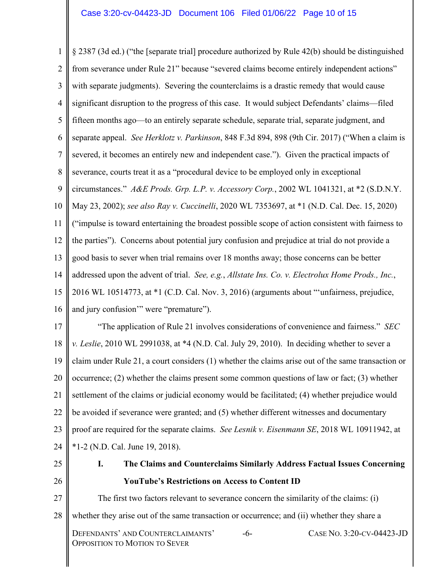1  $\mathfrak{D}$ 3 4 5 6 7 8 9 10 11 12 13 14 15 16 § 2387 (3d ed.) ("the [separate trial] procedure authorized by Rule 42(b) should be distinguished from severance under Rule 21" because "severed claims become entirely independent actions" with separate judgments). Severing the counterclaims is a drastic remedy that would cause significant disruption to the progress of this case. It would subject Defendants' claims—filed fifteen months ago—to an entirely separate schedule, separate trial, separate judgment, and separate appeal. *See Herklotz v. Parkinson*, 848 F.3d 894, 898 (9th Cir. 2017) ("When a claim is severed, it becomes an entirely new and independent case."). Given the practical impacts of severance, courts treat it as a "procedural device to be employed only in exceptional circumstances." *A&E Prods. Grp. L.P. v. Accessory Corp.*, 2002 WL 1041321, at \*2 (S.D.N.Y. May 23, 2002); *see also Ray v. Cuccinelli*, 2020 WL 7353697, at \*1 (N.D. Cal. Dec. 15, 2020) ("impulse is toward entertaining the broadest possible scope of action consistent with fairness to the parties"). Concerns about potential jury confusion and prejudice at trial do not provide a good basis to sever when trial remains over 18 months away; those concerns can be better addressed upon the advent of trial. *See, e.g.*, *Allstate Ins. Co. v. Electrolux Home Prods., Inc.*, 2016 WL 10514773, at \*1 (C.D. Cal. Nov. 3, 2016) (arguments about "'unfairness, prejudice, and jury confusion'" were "premature").

17 18 19 20 21 22 23 24 "The application of Rule 21 involves considerations of convenience and fairness." *SEC v. Leslie*, 2010 WL 2991038, at \*4 (N.D. Cal. July 29, 2010). In deciding whether to sever a claim under Rule 21, a court considers (1) whether the claims arise out of the same transaction or occurrence; (2) whether the claims present some common questions of law or fact; (3) whether settlement of the claims or judicial economy would be facilitated; (4) whether prejudice would be avoided if severance were granted; and (5) whether different witnesses and documentary proof are required for the separate claims. *See Lesnik v. Eisenmann SE*, 2018 WL 10911942, at \*1-2 (N.D. Cal. June 19, 2018).

25

26

**I. The Claims and Counterclaims Similarly Address Factual Issues Concerning YouTube's Restrictions on Access to Content ID** 

27 28 DEFENDANTS' AND COUNTERCLAIMANTS' OPPOSITION TO MOTION TO SEVER -6- CASE NO. 3:20-CV-04423-JD The first two factors relevant to severance concern the similarity of the claims: (i) whether they arise out of the same transaction or occurrence; and (ii) whether they share a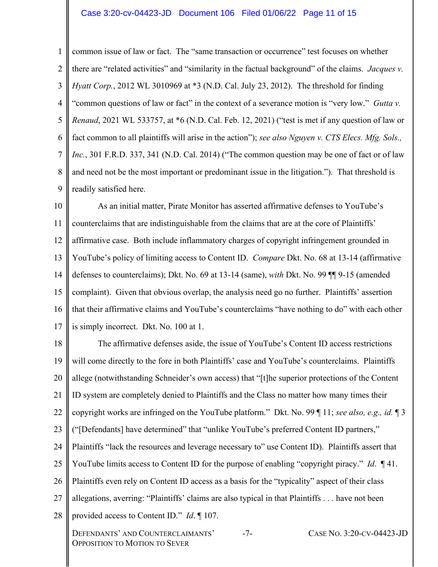### Case 3:20-cv-04423-JD Document 106 Filed 01/06/22 Page 11 of 15

1  $\mathcal{L}$ 3 4 5 6 7 8 9 common issue of law or fact. The "same transaction or occurrence" test focuses on whether there are "related activities" and "similarity in the factual background" of the claims. *Jacques v. Hyatt Corp.*, 2012 WL 3010969 at \*3 (N.D. Cal. July 23, 2012). The threshold for finding "common questions of law or fact" in the context of a severance motion is "very low." *Gutta v. Renaud*, 2021 WL 533757, at \*6 (N.D. Cal. Feb. 12, 2021) ("test is met if any question of law or fact common to all plaintiffs will arise in the action"); *see also Nguyen v. CTS Elecs. Mfg. Sols., Inc.*, 301 F.R.D. 337, 341 (N.D. Cal. 2014) ("The common question may be one of fact or of law and need not be the most important or predominant issue in the litigation."). That threshold is readily satisfied here.

10 11 12 13 14 15 16 17 As an initial matter, Pirate Monitor has asserted affirmative defenses to YouTube's counterclaims that are indistinguishable from the claims that are at the core of Plaintiffs' affirmative case. Both include inflammatory charges of copyright infringement grounded in YouTube's policy of limiting access to Content ID. *Compare* Dkt. No. 68 at 13-14 (affirmative defenses to counterclaims); Dkt. No. 69 at 13-14 (same), *with* Dkt. No. 99 ¶¶ 9-15 (amended complaint). Given that obvious overlap, the analysis need go no further. Plaintiffs' assertion that their affirmative claims and YouTube's counterclaims "have nothing to do" with each other is simply incorrect. Dkt. No. 100 at 1.

18 19 20 21 22 23 24 25 26 27 28 DEFENDANTS' AND COUNTERCLAIMANTS' OPPOSITION TO MOTION TO SEVER -7- CASE NO. 3:20-CV-04423-JD The affirmative defenses aside, the issue of YouTube's Content ID access restrictions will come directly to the fore in both Plaintiffs' case and YouTube's counterclaims. Plaintiffs allege (notwithstanding Schneider's own access) that "[t]he superior protections of the Content ID system are completely denied to Plaintiffs and the Class no matter how many times their copyright works are infringed on the YouTube platform." Dkt. No. 99 ¶ 11; *see also, e.g., id.* ¶ 3 ("[Defendants] have determined" that "unlike YouTube's preferred Content ID partners," Plaintiffs "lack the resources and leverage necessary to" use Content ID). Plaintiffs assert that YouTube limits access to Content ID for the purpose of enabling "copyright piracy." *Id*. ¶ 41. Plaintiffs even rely on Content ID access as a basis for the "typicality" aspect of their class allegations, averring: "Plaintiffs' claims are also typical in that Plaintiffs . . . have not been provided access to Content ID." *Id*. ¶ 107.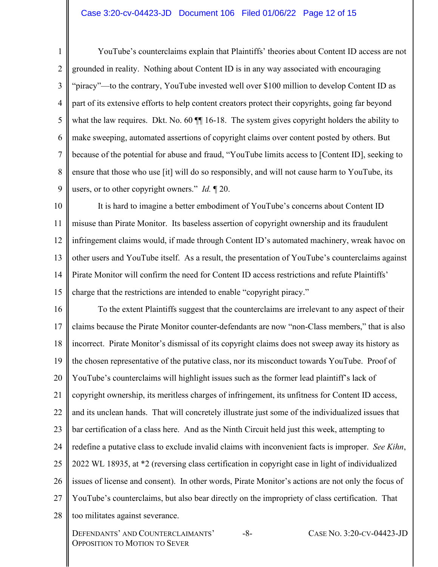## Case 3:20-cv-04423-JD Document 106 Filed 01/06/22 Page 12 of 15

1  $\overline{2}$ 3 4 5 6 7 8 9 YouTube's counterclaims explain that Plaintiffs' theories about Content ID access are not grounded in reality. Nothing about Content ID is in any way associated with encouraging "piracy"—to the contrary, YouTube invested well over \$100 million to develop Content ID as part of its extensive efforts to help content creators protect their copyrights, going far beyond what the law requires. Dkt. No. 60  $\P$  16-18. The system gives copyright holders the ability to make sweeping, automated assertions of copyright claims over content posted by others. But because of the potential for abuse and fraud, "YouTube limits access to [Content ID], seeking to ensure that those who use [it] will do so responsibly, and will not cause harm to YouTube, its users, or to other copyright owners." *Id.* ¶ 20.

10 11 12 13 14 15 It is hard to imagine a better embodiment of YouTube's concerns about Content ID misuse than Pirate Monitor. Its baseless assertion of copyright ownership and its fraudulent infringement claims would, if made through Content ID's automated machinery, wreak havoc on other users and YouTube itself. As a result, the presentation of YouTube's counterclaims against Pirate Monitor will confirm the need for Content ID access restrictions and refute Plaintiffs' charge that the restrictions are intended to enable "copyright piracy."

16 17 18 19 20 21 22 23 24 25 26 27 28 To the extent Plaintiffs suggest that the counterclaims are irrelevant to any aspect of their claims because the Pirate Monitor counter-defendants are now "non-Class members," that is also incorrect. Pirate Monitor's dismissal of its copyright claims does not sweep away its history as the chosen representative of the putative class, nor its misconduct towards YouTube. Proof of YouTube's counterclaims will highlight issues such as the former lead plaintiff's lack of copyright ownership, its meritless charges of infringement, its unfitness for Content ID access, and its unclean hands. That will concretely illustrate just some of the individualized issues that bar certification of a class here. And as the Ninth Circuit held just this week, attempting to redefine a putative class to exclude invalid claims with inconvenient facts is improper. *See Kihn*, 2022 WL 18935, at \*2 (reversing class certification in copyright case in light of individualized issues of license and consent). In other words, Pirate Monitor's actions are not only the focus of YouTube's counterclaims, but also bear directly on the impropriety of class certification. That too militates against severance.

DEFENDANTS' AND COUNTERCLAIMANTS' OPPOSITION TO MOTION TO SEVER

-8- CASE NO. 3:20-CV-04423-JD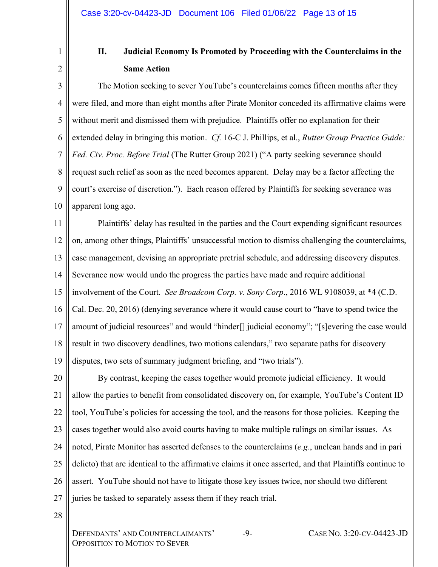1 2

# **II. Judicial Economy Is Promoted by Proceeding with the Counterclaims in the Same Action**

3 4 5 6 7 8 9 10 The Motion seeking to sever YouTube's counterclaims comes fifteen months after they were filed, and more than eight months after Pirate Monitor conceded its affirmative claims were without merit and dismissed them with prejudice. Plaintiffs offer no explanation for their extended delay in bringing this motion. *Cf.* 16-C J. Phillips, et al., *Rutter Group Practice Guide: Fed. Civ. Proc. Before Trial* (The Rutter Group 2021) ("A party seeking severance should request such relief as soon as the need becomes apparent. Delay may be a factor affecting the court's exercise of discretion."). Each reason offered by Plaintiffs for seeking severance was apparent long ago.

11 12 13 14 15 16 17 18 19 Plaintiffs' delay has resulted in the parties and the Court expending significant resources on, among other things, Plaintiffs' unsuccessful motion to dismiss challenging the counterclaims, case management, devising an appropriate pretrial schedule, and addressing discovery disputes. Severance now would undo the progress the parties have made and require additional involvement of the Court. *See Broadcom Corp. v. Sony Corp*., 2016 WL 9108039, at \*4 (C.D. Cal. Dec. 20, 2016) (denying severance where it would cause court to "have to spend twice the amount of judicial resources" and would "hinder<sup>[]</sup> judicial economy"; "[s]evering the case would result in two discovery deadlines, two motions calendars," two separate paths for discovery disputes, two sets of summary judgment briefing, and "two trials").

20 21 22 23 24 25 26 27 By contrast, keeping the cases together would promote judicial efficiency. It would allow the parties to benefit from consolidated discovery on, for example, YouTube's Content ID tool, YouTube's policies for accessing the tool, and the reasons for those policies. Keeping the cases together would also avoid courts having to make multiple rulings on similar issues. As noted, Pirate Monitor has asserted defenses to the counterclaims (*e.g*., unclean hands and in pari delicto) that are identical to the affirmative claims it once asserted, and that Plaintiffs continue to assert. YouTube should not have to litigate those key issues twice, nor should two different juries be tasked to separately assess them if they reach trial.

28

DEFENDANTS' AND COUNTERCLAIMANTS' OPPOSITION TO MOTION TO SEVER

-9- CASE NO. 3:20-CV-04423-JD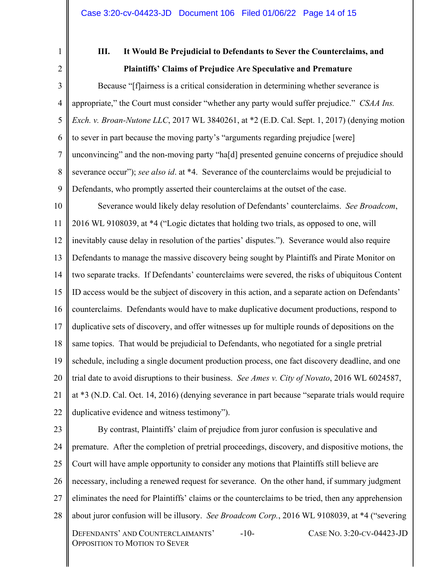1 2

# **III. It Would Be Prejudicial to Defendants to Sever the Counterclaims, and Plaintiffs' Claims of Prejudice Are Speculative and Premature**

3 4 5 6 7 8 9 Because "[f]airness is a critical consideration in determining whether severance is appropriate," the Court must consider "whether any party would suffer prejudice." *CSAA Ins. Exch. v. Broan-Nutone LLC*, 2017 WL 3840261, at \*2 (E.D. Cal. Sept. 1, 2017) (denying motion to sever in part because the moving party's "arguments regarding prejudice [were] unconvincing" and the non-moving party "ha[d] presented genuine concerns of prejudice should severance occur"); *see also id*. at \*4. Severance of the counterclaims would be prejudicial to Defendants, who promptly asserted their counterclaims at the outset of the case.

10 11 12 13 14 15 16 17 18 19 20 21 22 Severance would likely delay resolution of Defendants' counterclaims. *See Broadcom*, 2016 WL 9108039, at \*4 ("Logic dictates that holding two trials, as opposed to one, will inevitably cause delay in resolution of the parties' disputes."). Severance would also require Defendants to manage the massive discovery being sought by Plaintiffs and Pirate Monitor on two separate tracks. If Defendants' counterclaims were severed, the risks of ubiquitous Content ID access would be the subject of discovery in this action, and a separate action on Defendants' counterclaims. Defendants would have to make duplicative document productions, respond to duplicative sets of discovery, and offer witnesses up for multiple rounds of depositions on the same topics. That would be prejudicial to Defendants, who negotiated for a single pretrial schedule, including a single document production process, one fact discovery deadline, and one trial date to avoid disruptions to their business. *See Ames v. City of Novato*, 2016 WL 6024587, at \*3 (N.D. Cal. Oct. 14, 2016) (denying severance in part because "separate trials would require duplicative evidence and witness testimony").

23 24 25 26 27 28 DEFENDANTS' AND COUNTERCLAIMANTS' OPPOSITION TO MOTION TO SEVER -10- CASE NO. 3:20-CV-04423-JD By contrast, Plaintiffs' claim of prejudice from juror confusion is speculative and premature. After the completion of pretrial proceedings, discovery, and dispositive motions, the Court will have ample opportunity to consider any motions that Plaintiffs still believe are necessary, including a renewed request for severance. On the other hand, if summary judgment eliminates the need for Plaintiffs' claims or the counterclaims to be tried, then any apprehension about juror confusion will be illusory. *See Broadcom Corp.*, 2016 WL 9108039, at \*4 ("severing